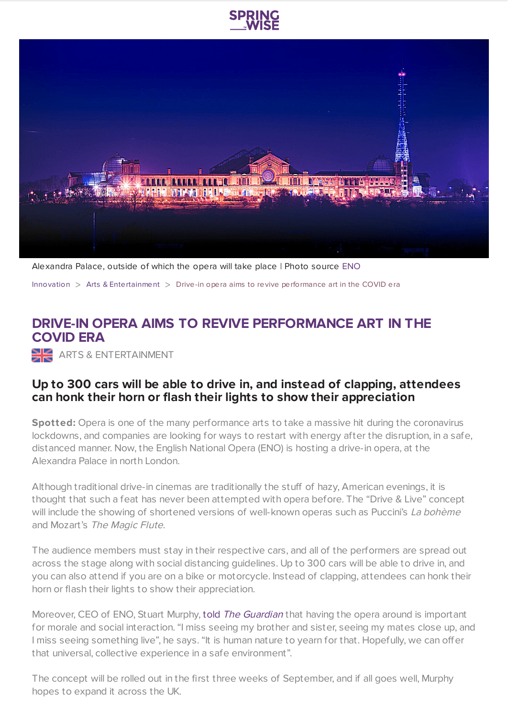



Alexandra Palace, outside of which the opera will take place | Photo source [ENO](https://englishnationalopera.smugmug.com/ENO-Drive-Live/n-RzHzGt/i-PQShW98/A)

[Innovation](https://www.springwise.com/search?type=innovation)  $>$  Arts & [Entertainment](https://www.springwise.com/search?type=innovation§or=arts-entertainment)  $>$  Drive-in opera aims to revive performance art in the COVID era

## **DRIVE-IN OPERA AIMS TO REVIVE PERFORMANCE ART IN THE COVID ERA**

**ARTS & ENTERTAINMENT** 

## **Up to 300 cars will be able to drive in, and instead of clapping, attendees can honk their horn or flash their lights to show their appreciation**

**Spotted:** Opera is one of the many performance arts to take a massive hit during the coronavirus lockdowns, and companies are looking for ways to restart with energy after the disruption, in a safe, distanced manner. Now, the English National Opera (ENO) is hosting a drive-in opera, at the Alexandra Palace in north London.

Although traditional drive-in cinemas are traditionally the stuff of hazy, American evenings, it is thought that such a feat has never been attempted with opera before. The "Drive & Live" concept will include the showing of shortened versions of well-known operas such as Puccini's La bohème and Mozart's The Magic Flute.

The audience members must stay in their respective cars, and all of the performers are spread out across the stage along with social distancing guidelines. Up to 300 cars will be able to drive in, and you can also attend if you are on a bike or motorcycle. Instead of clapping, attendees can honk their horn or flash their lights to show their appreciation.

Moreover, CEO of ENO, Stuart Murphy, told The [Guardian](https://www.theguardian.com/music/2020/apr/24/at-the-drive-in-eno-to-stage-coronavirus-lockdown-friendly-opera) that having the opera around is important for morale and social interaction. "I miss seeing my brother and sister, seeing my mates close up, and I miss seeing something live", he says. "It is human nature to yearn for that. Hopefully, we can offer that universal, collective experience in a safe environment".

The concept will be rolled out in the first three weeks of September, and if all goes well, Murphy hopes to expand it across the UK.